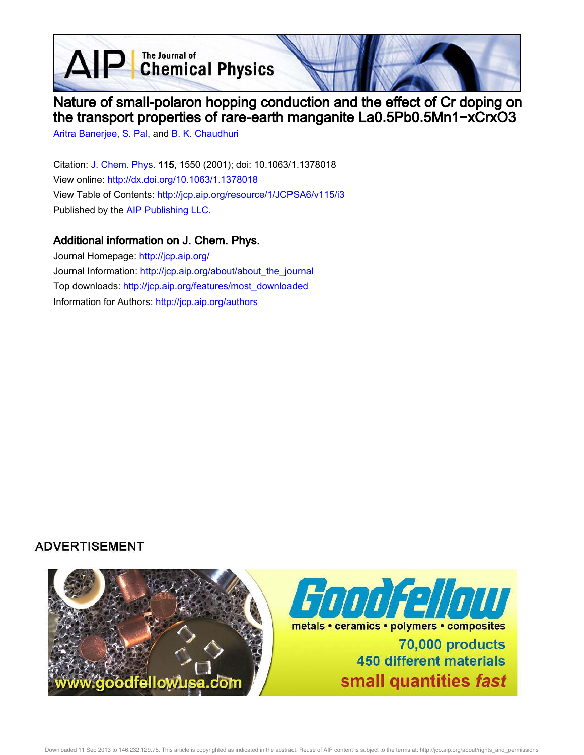AIP Chemical Physics

# Nature of small-polaron hopping conduction and the effect of Cr doping on the transport properties of rare-earth manganite La0.5Pb0.5Mn1−xCrxO3

Aritra Banerjee, S. Pal, and B. K. Chaudhuri

Citation: J. Chem. Phys. 115, 1550 (2001); doi: 10.1063/1.1378018 View online: http://dx.doi.org/10.1063/1.1378018 View Table of Contents: http://jcp.aip.org/resource/1/JCPSA6/v115/i3 Published by the AIP Publishing LLC.

### Additional information on J. Chem. Phys.

Journal Homepage: http://jcp.aip.org/ Journal Information: http://jcp.aip.org/about/about\_the\_journal Top downloads: http://jcp.aip.org/features/most\_downloaded Information for Authors: http://jcp.aip.org/authors

## **ADVERTISEMENT**

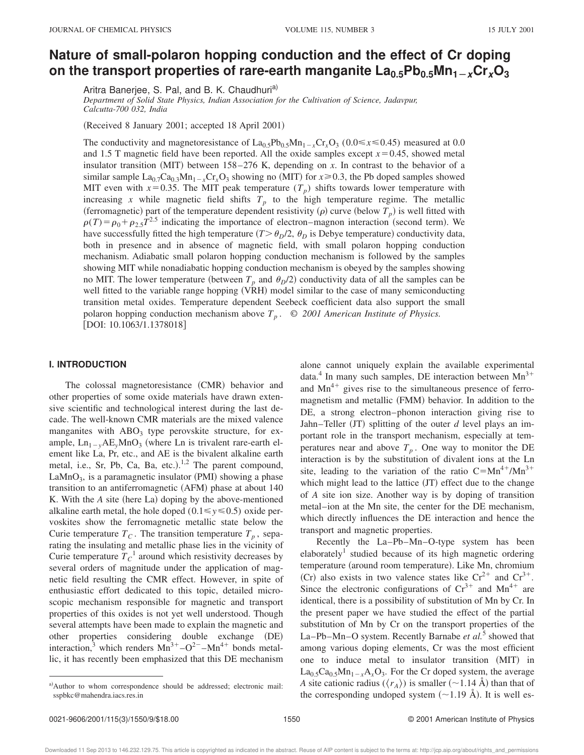### **Nature of small-polaron hopping conduction and the effect of Cr doping** on the transport properties of rare-earth manganite  $\text{La}_{0.5}\text{Pb}_{0.5}\text{Mn}_{1-x}\text{Cr}_x\text{O}_3$

Aritra Banerjee, S. Pal, and B. K. Chaudhuri<sup>a)</sup>

*Department of Solid State Physics, Indian Association for the Cultivation of Science, Jadavpur, Calcutta-700 032, India*

(Received 8 January 2001; accepted 18 April 2001)

The conductivity and magnetoresistance of  $La_{0.5}Pb_{0.5}Mn_{1-x}Cr_xO_3$  (0.0  $\le x \le 0.45$ ) measured at 0.0 and 1.5 T magnetic field have been reported. All the oxide samples except  $x=0.45$ , showed metal insulator transition  $(MIT)$  between 158–276 K, depending on *x*. In contrast to the behavior of a similar sample  $La_{0.7}Ca_{0.3}Mn_{1-x}Cr_xO_3$  showing no (MIT) for  $x \ge 0.3$ , the Pb doped samples showed MIT even with  $x=0.35$ . The MIT peak temperature  $(T_p)$  shifts towards lower temperature with increasing *x* while magnetic field shifts  $T_p$  to the high temperature regime. The metallic (ferromagnetic) part of the temperature dependent resistivity  $(\rho)$  curve (below  $T_p$ ) is well fitted with  $\rho(T) = \rho_0 + \rho_{2.5}T^{2.5}$  indicating the importance of electron–magnon interaction (second term). We have successfully fitted the high temperature  $(T > \theta_D/2, \theta_D)$  is Debye temperature) conductivity data, both in presence and in absence of magnetic field, with small polaron hopping conduction mechanism. Adiabatic small polaron hopping conduction mechanism is followed by the samples showing MIT while nonadiabatic hopping conduction mechanism is obeyed by the samples showing no MIT. The lower temperature (between  $T_p$  and  $\theta_p/2$ ) conductivity data of all the samples can be well fitted to the variable range hopping (VRH) model similar to the case of many semiconducting transition metal oxides. Temperature dependent Seebeck coefficient data also support the small polaron hopping conduction mechanism above *T<sup>p</sup>* . © *2001 American Institute of Physics.* [DOI: 10.1063/1.1378018]

#### **I. INTRODUCTION**

The colossal magnetoresistance (CMR) behavior and other properties of some oxide materials have drawn extensive scientific and technological interest during the last decade. The well-known CMR materials are the mixed valence manganites with  $ABO<sub>3</sub>$  type perovskite structure, for example,  $Ln_{1-y}AE_yMnO_3$  (where Ln is trivalent rare-earth element like La, Pr, etc., and AE is the bivalent alkaline earth metal, i.e., Sr, Pb, Ca, Ba, etc.).<sup>1,2</sup> The parent compound,  $LaMnO<sub>3</sub>$ , is a paramagnetic insulator (PMI) showing a phase transition to an antiferromagnetic  $(AFM)$  phase at about 140 K. With the *A* site (here La) doping by the above-mentioned alkaline earth metal, the hole doped  $(0.1 \le y \le 0.5)$  oxide pervoskites show the ferromagnetic metallic state below the Curie temperature  $T_c$ . The transition temperature  $T_p$ , separating the insulating and metallic phase lies in the vicinity of Curie temperature  $T_C^1$  around which resistivity decreases by several orders of magnitude under the application of magnetic field resulting the CMR effect. However, in spite of enthusiastic effort dedicated to this topic, detailed microscopic mechanism responsible for magnetic and transport properties of this oxides is not yet well understood. Though several attempts have been made to explain the magnetic and other properties considering double exchange (DE) interaction,<sup>3</sup> which renders  $Mn^{3+} - O^{2-} - Mn^{4+}$  bonds metallic, it has recently been emphasized that this DE mechanism alone cannot uniquely explain the available experimental data.<sup>4</sup> In many such samples, DE interaction between  $Mn^{3+}$ and  $Mn^{4+}$  gives rise to the simultaneous presence of ferromagnetism and metallic (FMM) behavior. In addition to the DE, a strong electron–phonon interaction giving rise to Jahn–Teller  $JT$ ) splitting of the outer *d* level plays an important role in the transport mechanism, especially at temperatures near and above  $T_p$ . One way to monitor the DE interaction is by the substitution of divalent ions at the Ln site, leading to the variation of the ratio  $C=Mn^{4+}/Mn^{3+}$ which might lead to the lattice  $J(T)$  effect due to the change of *A* site ion size. Another way is by doping of transition metal–ion at the Mn site, the center for the DE mechanism, which directly influences the DE interaction and hence the transport and magnetic properties.

Recently the La–Pb–Mn–O-type system has been elaborately<sup>1</sup> studied because of its high magnetic ordering temperature (around room temperature). Like Mn, chromium (Cr) also exists in two valence states like  $Cr^{2+}$  and  $Cr^{3+}$ . Since the electronic configurations of  $Cr^{3+}$  and  $Mn^{4+}$  are identical, there is a possibility of substitution of Mn by Cr. In the present paper we have studied the effect of the partial substitution of Mn by Cr on the transport properties of the La–Pb–Mn–O system. Recently Barnabe *et al.*<sup>5</sup> showed that among various doping elements, Cr was the most efficient one to induce metal to insulator transition (MIT) in  $\text{La}_{0.5}\text{Ca}_{0.5}\text{Mn}_{1-x}\text{A}_x\text{O}_3$ . For the Cr doped system, the average *A* site cationic radius ( $\langle r_A \rangle$ ) is smaller (~1.14 Å) than that of the corresponding undoped system  $(\sim 1.19 \text{ Å})$ . It is well es-

a)Author to whom correspondence should be addressed; electronic mail: sspbkc@mahendra.iacs.res.in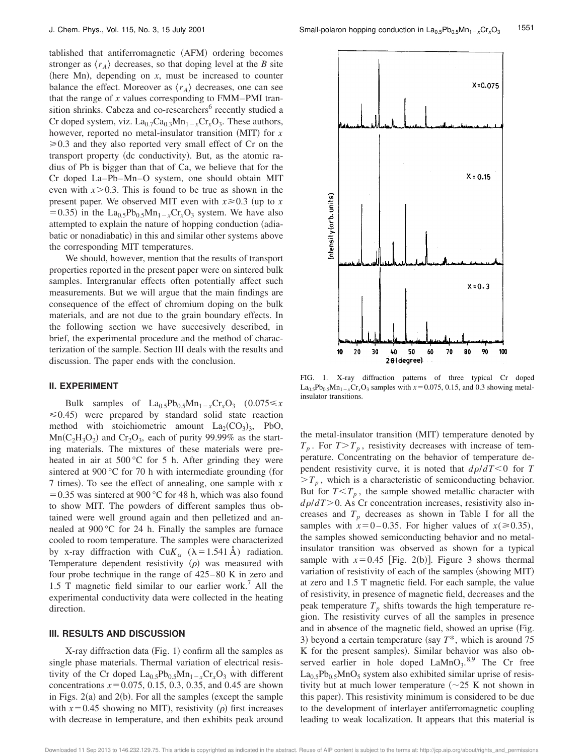tablished that antiferromagnetic (AFM) ordering becomes stronger as  $\langle r_A \rangle$  decreases, so that doping level at the *B* site (here Mn), depending on  $x$ , must be increased to counter balance the effect. Moreover as  $\langle r_A \rangle$  decreases, one can see that the range of *x* values corresponding to FMM–PMI transition shrinks. Cabeza and co-researchers<sup>6</sup> recently studied a Cr doped system, viz.  $La_{0.7}Ca_{0.3}Mn_{1-x}Cr_xO_3$ . These authors, however, reported no metal-insulator transition  $(MIT)$  for *x*  $\geq 0.3$  and they also reported very small effect of Cr on the transport property (dc conductivity). But, as the atomic radius of Pb is bigger than that of Ca, we believe that for the Cr doped La–Pb–Mn–O system, one should obtain MIT even with  $x > 0.3$ . This is found to be true as shown in the present paper. We observed MIT even with  $x \ge 0.3$  (up to *x*  $(50.35)$  in the La<sub>0.5</sub>Pb<sub>0.5</sub>Mn<sub>1-x</sub>Cr<sub>x</sub>O<sub>3</sub> system. We have also attempted to explain the nature of hopping conduction (adiabatic or nonadiabatic) in this and similar other systems above the corresponding MIT temperatures.

We should, however, mention that the results of transport properties reported in the present paper were on sintered bulk samples. Intergranular effects often potentially affect such measurements. But we will argue that the main findings are consequence of the effect of chromium doping on the bulk materials, and are not due to the grain boundary effects. In the following section we have succesively described, in brief, the experimental procedure and the method of characterization of the sample. Section III deals with the results and discussion. The paper ends with the conclusion.

#### **II. EXPERIMENT**

Bulk samples of  $La_{0.5}Pb_{0.5}Mn_{1-x}Cr_xO_3$  (0.075  $\leq x$ )  $\leq 0.45$ ) were prepared by standard solid state reaction method with stoichiometric amount  $La_2(CO_3)_3$ , PbO,  $Mn(C_2H_3O_2)$  and  $Cr_2O_3$ , each of purity 99.99% as the starting materials. The mixtures of these materials were preheated in air at  $500\,^{\circ}\text{C}$  for 5 h. After grinding they were sintered at  $900 \degree C$  for 70 h with intermediate grounding (for 7 times). To see the effect of annealing, one sample with  $x$  $=0.35$  was sintered at 900 °C for 48 h, which was also found to show MIT. The powders of different samples thus obtained were well ground again and then pelletized and annealed at 900 °C for 24 h. Finally the samples are furnace cooled to room temperature. The samples were characterized by x-ray diffraction with  $\text{Cu}K_{\alpha}$  ( $\lambda=1.541$  Å) radiation. Temperature dependent resistivity  $(\rho)$  was measured with four probe technique in the range of 425–80 K in zero and 1.5 T magnetic field similar to our earlier work.<sup>7</sup> All the experimental conductivity data were collected in the heating direction.

#### **III. RESULTS AND DISCUSSION**

X-ray diffraction data  $(Fig. 1)$  confirm all the samples as single phase materials. Thermal variation of electrical resistivity of the Cr doped  $La_0$ <sub>5</sub>Pb<sub>0</sub><sub>5</sub>Mn<sub>1-*x*</sub>Cr<sub>x</sub>O<sub>3</sub> with different concentrations  $x=0.075$ , 0.15, 0.3, 0.35, and 0.45 are shown in Figs.  $2(a)$  and  $2(b)$ . For all the samples (except the sample with  $x=0.45$  showing no MIT), resistivity ( $\rho$ ) first increases with decrease in temperature, and then exhibits peak around



FIG. 1. X-ray diffraction patterns of three typical Cr doped  $\text{La}_{0.5}\text{Pb}_{0.5}\text{Mn}_{1-x}\text{Cr}_x\text{O}_3$  samples with  $x=0.075$ , 0.15, and 0.3 showing metalinsulator transitions.

the metal-insulator transition (MIT) temperature denoted by  $T_p$ . For  $T>T_p$ , resistivity decreases with increase of temperature. Concentrating on the behavior of temperature dependent resistivity curve, it is noted that  $d\rho/dT < 0$  for *T*  $>T_p$ , which is a characteristic of semiconducting behavior. But for  $T < T_p$ , the sample showed metallic character with  $d\rho/dT$  > 0. As Cr concentration increases, resistivity also increases and  $T_p$  decreases as shown in Table I for all the samples with  $x=0-0.35$ . For higher values of  $x(ge 0.35)$ , the samples showed semiconducting behavior and no metalinsulator transition was observed as shown for a typical sample with  $x=0.45$  [Fig. 2(b)]. Figure 3 shows thermal variation of resistivity of each of the samples (showing MIT) at zero and 1.5 T magnetic field. For each sample, the value of resistivity, in presence of magnetic field, decreases and the peak temperature  $T_p$  shifts towards the high temperature region. The resistivity curves of all the samples in presence and in absence of the magnetic field, showed an uprise (Fig. 3) beyond a certain temperature (say  $T^*$ , which is around 75 K for the present samples). Similar behavior was also observed earlier in hole doped  $\text{LaMnO}_3$ ,  $8.9$  The Cr free  $La<sub>0.5</sub>Pb<sub>0.5</sub>MnO<sub>5</sub>$  system also exhibited similar uprise of resistivity but at much lower temperature  $(\sim 25 \text{ K}$  not shown in this paper). This resistivity minimum is considered to be due to the development of interlayer antiferromagnetic coupling leading to weak localization. It appears that this material is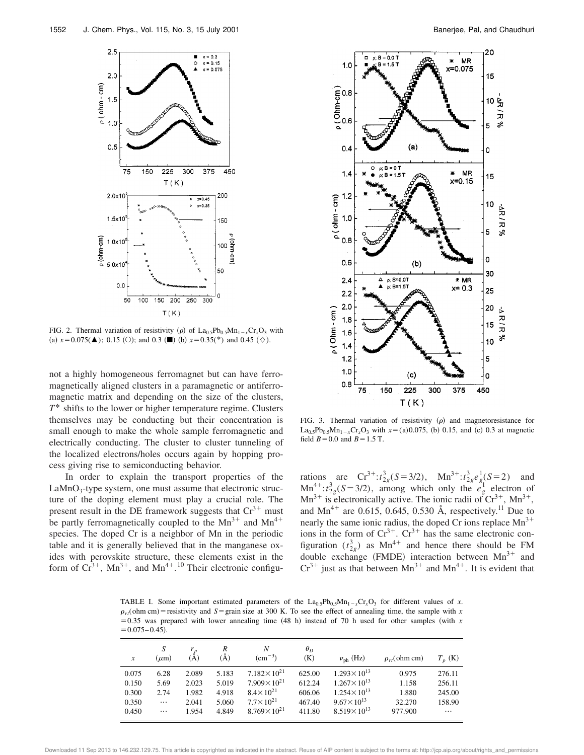

FIG. 2. Thermal variation of resistivity ( $\rho$ ) of La<sub>0.5</sub>Pb<sub>0.5</sub>Mn<sub>1</sub><sub>x</sub>Cr<sub>x</sub>O<sub>3</sub> with (a)  $x=0.075(\triangle)$ ; 0.15 (O); and 0.3 ( $\blacksquare$ ) (b)  $x=0.35(*)$  and 0.45 ( $\diamond$ ).

not a highly homogeneous ferromagnet but can have ferromagnetically aligned clusters in a paramagnetic or antiferromagnetic matrix and depending on the size of the clusters, *T*\* shifts to the lower or higher temperature regime. Clusters themselves may be conducting but their concentration is small enough to make the whole sample ferromagnetic and electrically conducting. The cluster to cluster tunneling of the localized electrons/holes occurs again by hopping process giving rise to semiconducting behavior.

In order to explain the transport properties of the LaMnO<sub>3</sub>-type system, one must assume that electronic structure of the doping element must play a crucial role. The present result in the DE framework suggests that  $Cr^{3+}$  must be partly ferromagnetically coupled to the  $Mn^{3+}$  and  $Mn^{4+}$ species. The doped Cr is a neighbor of Mn in the periodic table and it is generally believed that in the manganese oxides with perovskite structure, these elements exist in the form of  $Cr^{3+}$ , Mn<sup>3+</sup>, and Mn<sup>4+</sup>.<sup>10</sup> Their electronic configu-



FIG. 3. Thermal variation of resistivity  $(\rho)$  and magnetoresistance for  $La<sub>0.5</sub>Pb<sub>0.5</sub>Mn<sub>1-x</sub>Cr<sub>x</sub>O<sub>3</sub>$  with  $x=(a)0.075$ , (b) 0.15, and (c) 0.3 at magnetic field  $B = 0.0$  and  $B = 1.5$  T.

rations are  $Cr^{3+} : t_{2g}^{3}(S=3/2)$ ,  $Mn^{3+} : t_{2g}^{3}e_{g}^{1}(S=2)$  and  $\text{Mn}^{4+}$ :*t*<sup>2</sup><sub>2g</sub>(S=3/2), among which only the  $e_g^{\frac{25}{g}}$  electron of  $Mn^{3+}$  is electronically active. The ionic radii of  $Cr^{3+}$ ,  $Mn^{3+}$ , and  $Mn^{4+}$  are 0.615, 0.645, 0.530 Å, respectively.<sup>11</sup> Due to nearly the same ionic radius, the doped Cr ions replace  $Mn^{3+}$ ions in the form of  $Cr^{3+}$ .  $Cr^{3+}$  has the same electronic configuration  $(t_{2g}^3)$  as Mn<sup>4+</sup> and hence there should be FM double exchange (FMDE) interaction between  $Mn^{3+}$  and  $Cr^{3+}$  just as that between  $Mn^{3+}$  and  $Mn^{4+}$ . It is evident that

TABLE I. Some important estimated parameters of the  $La_{0.5}Pb_{0.5}Mn_{1-x}Cr_xO_3$  for different values of *x*.  $\rho_{rt}$ (ohm cm) = resistivity and *S* = grain size at 300 K. To see the effect of annealing time, the sample with *x*  $=0.35$  was prepared with lower annealing time  $(48 \text{ h})$  instead of 70 h used for other samples (with *x*  $= 0.075 - 0.45$ .

| $\boldsymbol{x}$ | S<br>$(\mu m)$ | $r_p$<br>A) | R<br>(À) | N<br>$\rm (cm^{-3})$   | $\theta_D$<br>(K) | $\nu_{\rm ph}$ (Hz)    | $\rho_{rt}$ (ohm cm) | $T_n$ (K) |
|------------------|----------------|-------------|----------|------------------------|-------------------|------------------------|----------------------|-----------|
| 0.075            | 6.28           | 2.089       | 5.183    | $7.182\times10^{21}$   | 625.00            | $1.293 \times 10^{13}$ | 0.975                | 276.11    |
| 0.150            | 5.69           | 2.023       | 5.019    | $7.909 \times 10^{21}$ | 612.24            | $1.267 \times 10^{13}$ | 1.158                | 256.11    |
| 0.300            | 2.74           | 1.982       | 4.918    | $8.4\times10^{21}$     | 606.06            | $1.254 \times 10^{13}$ | 1.880                | 245.00    |
| 0.350            | $\cdots$       | 2.041       | 5.060    | $7.7 \times 10^{21}$   | 467.40            | $9.67 \times 10^{13}$  | 32.270               | 158.90    |
| 0.450            | $\cdots$       | 1.954       | 4.849    | $8.769 \times 10^{21}$ | 411.80            | $8.519 \times 10^{13}$ | 977.900              | $\cdots$  |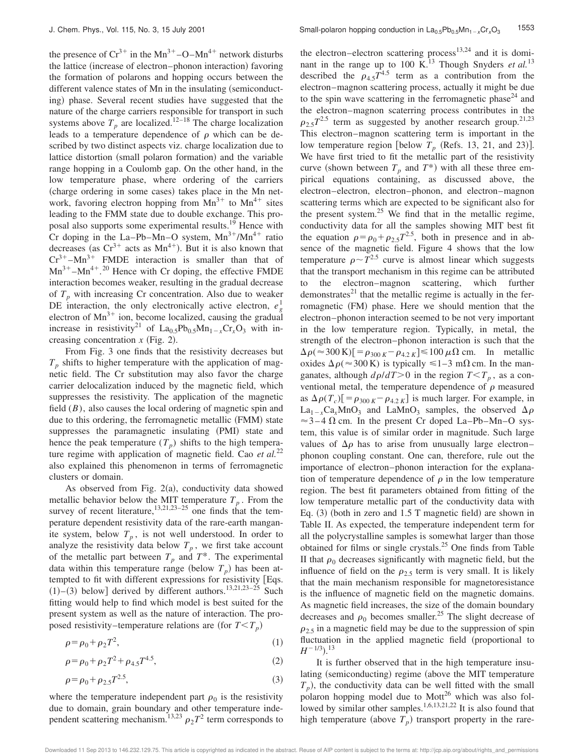the presence of  $Cr^{3+}$  in the Mn<sup>3+</sup>-O–Mn<sup>4+</sup> network disturbs the lattice (increase of electron–phonon interaction) favoring the formation of polarons and hopping occurs between the different valence states of Mn in the insulating (semiconducting) phase. Several recent studies have suggested that the nature of the charge carriers responsible for transport in such systems above  $T_p$  are localized.<sup>12–18</sup> The charge localization leads to a temperature dependence of  $\rho$  which can be described by two distinct aspects viz. charge localization due to lattice distortion (small polaron formation) and the variable range hopping in a Coulomb gap. On the other hand, in the low temperature phase, where ordering of the carriers (charge ordering in some cases) takes place in the Mn network, favoring electron hopping from  $Mn^{3+}$  to  $Mn^{4+}$  sites leading to the FMM state due to double exchange. This proposal also supports some experimental results.<sup>19</sup> Hence with Cr doping in the La–Pb–Mn–O system,  $Mn^{3+}/Mn^{4+}$  ratio decreases (as  $Cr^{3+}$  acts as  $Mn^{4+}$ ). But it is also known that  $Cr^{3+}-Mn^{3+}$  FMDE interaction is smaller than that of  $Mn^{3+}-Mn^{4+}$ <sup>20</sup> Hence with Cr doping, the effective FMDE interaction becomes weaker, resulting in the gradual decrease of  $T_p$  with increasing Cr concentration. Also due to weaker DE interaction, the only electronically active electron,  $e_g^1$ electron of  $Mn^{3+}$  ion, become localized, causing the gradual increase in resistivity<sup>21</sup> of La<sub>0.5</sub>Pb<sub>0.5</sub>Mn<sub>1-*x*</sub>Cr<sub>x</sub>O<sub>3</sub> with increasing concentration  $x$  (Fig. 2).

From Fig. 3 one finds that the resistivity decreases but  $T_p$  shifts to higher temperature with the application of magnetic field. The Cr substitution may also favor the charge carrier delocalization induced by the magnetic field, which suppresses the resistivity. The application of the magnetic field (*B*), also causes the local ordering of magnetic spin and due to this ordering, the ferromagnetic metallic (FMM) state suppresses the paramagnetic insulating (PMI) state and hence the peak temperature  $(T_p)$  shifts to the high temperature regime with application of magnetic field. Cao *et al.*<sup>22</sup> also explained this phenomenon in terms of ferromagnetic clusters or domain.

As observed from Fig.  $2(a)$ , conductivity data showed metallic behavior below the MIT temperature  $T_p$ . From the survey of recent literature,<sup>13,21,23–25</sup> one finds that the temperature dependent resistivity data of the rare-earth manganite system, below  $T_p$ , is not well understood. In order to analyze the resistivity data below  $T_p$ , we first take account of the metallic part between  $T_p$  and  $T^*$ . The experimental data within this temperature range (below  $T_p$ ) has been attempted to fit with different expressions for resistivity [Eqs.  $(1)$ – $(3)$  below] derived by different authors.<sup>13,21,23–25</sup> Such fitting would help to find which model is best suited for the present system as well as the nature of interaction. The proposed resistivity–temperature relations are (for  $T < T_p$ )

$$
\rho = \rho_0 + \rho_2 T^2,\tag{1}
$$

$$
\rho = \rho_0 + \rho_2 T^2 + \rho_{4.5} T^{4.5},\tag{2}
$$

$$
\rho = \rho_0 + \rho_{2.5} T^{2.5},\tag{3}
$$

where the temperature independent part  $\rho_0$  is the resistivity due to domain, grain boundary and other temperature independent scattering mechanism.<sup>13,23</sup>  $\rho_2 T^2$  term corresponds to the electron–electron scattering process<sup>13,24</sup> and it is dominant in the range up to 100 K.<sup>13</sup> Though Snyders *et al.*<sup>13</sup> described the  $\rho_{4.5}T^{4.5}$  term as a contribution from the electron–magnon scattering process, actually it might be due to the spin wave scattering in the ferromagnetic phase<sup>24</sup> and the electron–magnon scaterring process contributes in the  $\rho_{2.5}T^{2.5}$  term as suggested by another research group.<sup>21,23</sup> This electron–magnon scattering term is important in the low temperature region [below  $T_p$  (Refs. 13, 21, and 23)]. We have first tried to fit the metallic part of the resistivity curve (shown between  $T_p$  and  $T^*$ ) with all these three empirical equations containing, as discussed above, the electron–electron, electron–phonon, and electron–magnon scattering terms which are expected to be significant also for the present system. $25$  We find that in the metallic regime, conductivity data for all the samples showing MIT best fit the equation  $\rho = \rho_0 + \rho_{2.5}T^{2.5}$ , both in presence and in absence of the magnetic field. Figure 4 shows that the low temperature  $\rho \sim T^{2.5}$  curve is almost linear which suggests that the transport mechanism in this regime can be attributed to the electron–magnon scattering, which further demonstrates $^{21}$  that the metallic regime is actually in the ferromagnetic (FM) phase. Here we should mention that the electron–phonon interaction seemed to be not very important in the low temperature region. Typically, in metal, the strength of the electron–phonon interaction is such that the  $\Delta \rho$  ( $\approx$  300 K)[ $= \rho_{300 K} - \rho_{4.2 K}$ ] $\leq$  100  $\mu \Omega$  cm. In metallic oxides  $\Delta \rho$  ( $\approx$  300 K) is typically  $\leq 1-3$  m $\Omega$  cm. In the manganates, although  $d\rho/dT > 0$  in the region  $T < T_p$ , as a conventional metal, the temperature dependence of  $\rho$  measured as  $\Delta \rho(T_c)$ [= $\rho_{300 K}$ - $\rho_{4.2 K}$ ] is much larger. For example, in  $La_{1-x}Ca_xMnO_3$  and  $LaMnO_3$  samples, the observed  $\Delta \rho$  $\approx$ 3–4  $\Omega$  cm. In the present Cr doped La–Pb–Mn–O system, this value is of similar order in magnitude. Such large values of  $\Delta \rho$  has to arise from unusually large electron– phonon coupling constant. One can, therefore, rule out the importance of electron–phonon interaction for the explanation of temperature dependence of  $\rho$  in the low temperature region. The best fit parameters obtained from fitting of the low temperature metallic part of the conductivity data with Eq.  $(3)$  (both in zero and 1.5 T magnetic field) are shown in Table II. As expected, the temperature independent term for all the polycrystalline samples is somewhat larger than those obtained for films or single crystals.<sup>25</sup> One finds from Table II that  $\rho_0$  decreases significantly with magnetic field, but the influence of field on the  $\rho_{2.5}$  term is very small. It is likely that the main mechanism responsible for magnetoresistance is the influence of magnetic field on the magnetic domains. As magnetic field increases, the size of the domain boundary decreases and  $\rho_0$  becomes smaller.<sup>25</sup> The slight decrease of  $\rho_{2.5}$  in a magnetic field may be due to the suppression of spin fluctuation in the applied magnetic field (proportional to  $H^{-1/3}$ ).<sup>13</sup>

It is further observed that in the high temperature insulating (semiconducting) regime (above the MIT temperature  $T_p$ ), the conductivity data can be well fitted with the small polaron hopping model due to Mott<sup>26</sup> which was also followed by similar other samples.<sup>1,6,13,21,22</sup> It is also found that high temperature (above  $T_p$ ) transport property in the rare-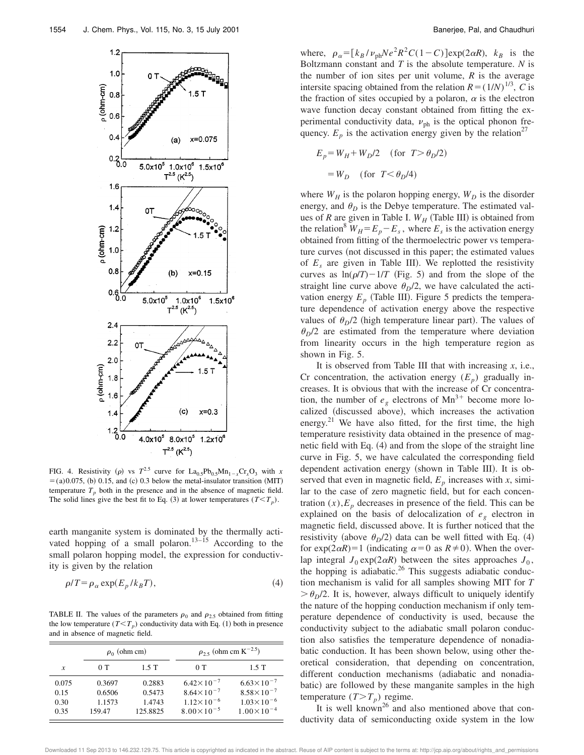

FIG. 4. Resistivity ( $\rho$ ) vs  $T^{2.5}$  curve for  $La_{0.5}Pb_{0.5}Mn_{1-x}Cr_xO_3$  with *x*  $=$ (a)0.075, (b) 0.15, and (c) 0.3 below the metal-insulator transition (MIT) temperature  $T_p$  both in the presence and in the absence of magnetic field. The solid lines give the best fit to Eq. (3) at lower temperatures  $(T < T_p)$ .

earth manganite system is dominated by the thermally activated hopping of a small polaron.<sup>13–15</sup> According to the small polaron hopping model, the expression for conductivity is given by the relation

$$
\rho/T = \rho_{\alpha} \exp(E_p / k_B T),\tag{4}
$$

TABLE II. The values of the parameters  $\rho_0$  and  $\rho_{2.5}$  obtained from fitting the low temperature  $(T < T_p)$  conductivity data with Eq. (1) both in presence and in absence of magnetic field.

|                               | $\rho_0$ (ohm cm)                    |                                        | $\rho_{2.5}$ (ohm cm K <sup>-2.5</sup> )                                                       |                                                                                                |  |
|-------------------------------|--------------------------------------|----------------------------------------|------------------------------------------------------------------------------------------------|------------------------------------------------------------------------------------------------|--|
| x                             | 0T                                   | 1.5T                                   | 0T                                                                                             | 1.5T                                                                                           |  |
| 0.075<br>0.15<br>0.30<br>0.35 | 0.3697<br>0.6506<br>1.1573<br>159.47 | 0.2883<br>0.5473<br>1.4743<br>125.8825 | $6.42 \times 10^{-7}$<br>$8.64 \times 10^{-7}$<br>$1.12 \times 10^{-6}$<br>$8.00\times10^{-5}$ | $6.63 \times 10^{-7}$<br>$8.58 \times 10^{-7}$<br>$1.03 \times 10^{-6}$<br>$1.00\times10^{-4}$ |  |

where,  $\rho_{\alpha} = [k_B / \nu_{ph}Ne^2R^2C(1-C)]exp(2\alpha R)$ ,  $k_B$  is the Boltzmann constant and *T* is the absolute temperature. *N* is the number of ion sites per unit volume, *R* is the average intersite spacing obtained from the relation  $R = (1/N)^{1/3}$ , *C* is the fraction of sites occupied by a polaron,  $\alpha$  is the electron wave function decay constant obtained from fitting the experimental conductivity data,  $v_{\text{ph}}$  is the optical phonon frequency.  $E_p$  is the activation energy given by the relation<sup>27</sup>

$$
E_p = W_H + W_D/2 \quad \text{(for } T > \theta_D/2\text{)}
$$

$$
= W_D \quad \text{(for } T < \theta_D/4\text{)}
$$

where  $W_H$  is the polaron hopping energy,  $W_D$  is the disorder energy, and  $\theta_D$  is the Debye temperature. The estimated values of *R* are given in Table I.  $W_H$  (Table III) is obtained from the relation<sup>8</sup>  $W_H = E_p - E_s$ , where  $E_s$  is the activation energy obtained from fitting of the thermoelectric power vs temperature curves (not discussed in this paper; the estimated values of  $E_s$  are given in Table III). We replotted the resistivity curves as  $ln(\rho/T)$ -1/*T* (Fig. 5) and from the slope of the straight line curve above  $\theta_D/2$ , we have calculated the activation energy  $E_p$  (Table III). Figure 5 predicts the temperature dependence of activation energy above the respective values of  $\theta_D/2$  (high temperature linear part). The values of  $\theta_D$ /2 are estimated from the temperature where deviation from linearity occurs in the high temperature region as shown in Fig. 5.

It is observed from Table III that with increasing *x*, i.e., Cr concentration, the activation energy  $(E_p)$  gradually increases. It is obvious that with the increase of Cr concentration, the number of  $e_g$  electrons of  $Mn^{3+}$  become more localized (discussed above), which increases the activation energy.<sup>21</sup> We have also fitted, for the first time, the high temperature resistivity data obtained in the presence of magnetic field with Eq.  $(4)$  and from the slope of the straight line curve in Fig. 5, we have calculated the corresponding field dependent activation energy (shown in Table III). It is observed that even in magnetic field,  $E_p$  increases with *x*, similar to the case of zero magnetic field, but for each concentration  $(x)$ , $E_p$  decreases in presence of the field. This can be explained on the basis of delocalization of  $e<sub>g</sub>$  electron in magnetic field, discussed above. It is further noticed that the resistivity (above  $\theta_D/2$ ) data can be well fitted with Eq. (4) for  $\exp(2\alpha R)=1$  (indicating  $\alpha=0$  as  $R\neq 0$ ). When the overlap integral  $J_0 \exp(2\alpha R)$  between the sites approaches  $J_0$ , the hopping is adiabatic.<sup>26</sup> This suggests adiabatic conduction mechanism is valid for all samples showing MIT for *T*  $\partial \theta_p/2$ . It is, however, always difficult to uniquely identify the nature of the hopping conduction mechanism if only temperature dependence of conductivity is used, because the conductivity subject to the adiabatic small polaron conduction also satisfies the temperature dependence of nonadiabatic conduction. It has been shown below, using other theoretical consideration, that depending on concentration, different conduction mechanisms (adiabatic and nonadiabatic) are followed by these manganite samples in the high temperature  $(T>T_p)$  regime.

It is well known<sup>26</sup> and also mentioned above that conductivity data of semiconducting oxide system in the low

Downloaded 11 Sep 2013 to 146.232.129.75. This article is copyrighted as indicated in the abstract. Reuse of AIP content is subject to the terms at: http://jcp.aip.org/about/rights\_and\_permissions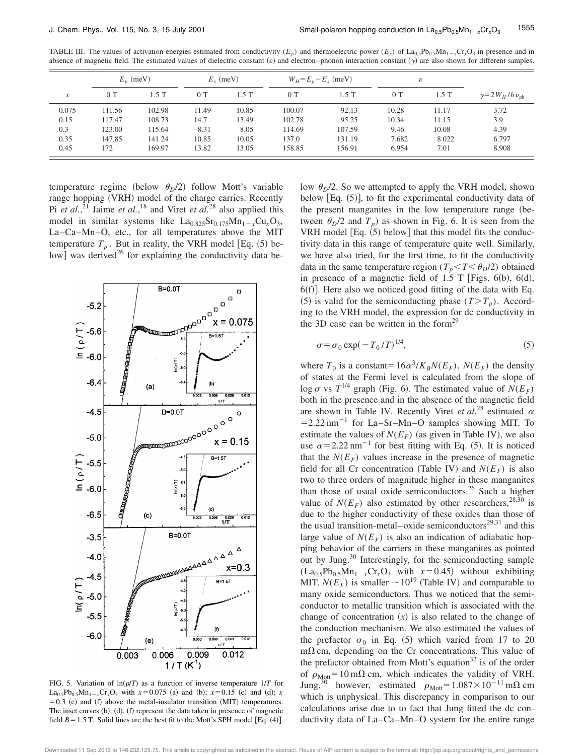TABLE III. The values of activation energies estimated from conductivity  $(E_p)$  and thermoelectric power  $(E_s)$  of La<sub>0.5</sub>Pb<sub>0.5</sub>Mn<sub>1</sub>-<sub>x</sub>Cr<sub>x</sub>O<sub>3</sub> in presence and in absence of magnetic field. The estimated values of dielectric constant  $(e)$  and electron–phonon interaction constant  $(\gamma)$  are also shown for different samples.

|                  | $E_n$ (meV) |         | $E_{\rm g}$ (meV) |       | $W_H = E_p - E_s$ (meV) |        | ε     |         |                                   |
|------------------|-------------|---------|-------------------|-------|-------------------------|--------|-------|---------|-----------------------------------|
| $\boldsymbol{x}$ | 0T          | $1.5$ T | 0T                | 1.5T  | 0T                      | 1.5 T  | 0T    | $1.5$ T | $\gamma = 2 W_H / h \nu_{\rm ph}$ |
| 0.075            | 111.56      | 102.98  | 11.49             | 10.85 | 100.07                  | 92.13  | 10.28 | 11.17   | 3.72                              |
| 0.15             | 117.47      | 108.73  | 14.7              | 13.49 | 102.78                  | 95.25  | 10.34 | 11.15   | 3.9                               |
| 0.3              | 123.00      | 115.64  | 8.31              | 8.05  | 114.69                  | 107.59 | 9.46  | 10.08   | 4.39                              |
| 0.35             | 147.85      | 141.24  | 10.85             | 10.05 | 137.0                   | 131.19 | 7.682 | 8.022   | 6.797                             |
| 0.45             | 172         | 169.97  | 13.82             | 13.05 | 158.85                  | 156.91 | 6.954 | 7.01    | 8.908                             |

temperature regime (below  $\theta_D/2$ ) follow Mott's variable range hopping (VRH) model of the charge carries. Recently Pi *et al.*,<sup>21</sup> Jaime *et al.*,<sup>18</sup> and Viret *et al.*<sup>28</sup> also applied this model in similar systems like  $La_{0.825}Sr_{0.175}Mn_{1-x}Cu_xO_3$ , La–Ca–Mn–O, etc., for all temperatures above the MIT temperature  $T_p$ . But in reality, the VRH model [Eq.  $(5)$  below] was derived<sup>26</sup> for explaining the conductivity data be-



FIG. 5. Variation of  $ln(\rho/T)$  as a function of inverse temperature  $1/T$  for  $La_{0.5}Pb_{0.5}Mn_{1-x}Cr_xO_3$  with  $x=0.075$  (a) and (b);  $x=0.15$  (c) and (d); *x*  $=0.3$  (e) and (f) above the metal-insulator transition (MIT) temperatures. The inset curves  $(b)$ ,  $(d)$ ,  $(f)$  represent the data taken in presence of magnetic field  $B = 1.5$  T. Solid lines are the best fit to the Mott's SPH model [Eq. (4)].

low  $\theta_D/2$ . So we attempted to apply the VRH model, shown below  $[Eq. (5)]$ , to fit the experimental conductivity data of the present manganites in the low temperature range (between  $\theta_D/2$  and  $T_p$ ) as shown in Fig. 6. It is seen from the VRH model  $[Eq. (5)$  below] that this model fits the conductivity data in this range of temperature quite well. Similarly, we have also tried, for the first time, to fit the conductivity data in the same temperature region ( $T_p$ < $T$ < $\theta_D$ /2) obtained in presence of a magnetic field of 1.5 T [Figs. 6(b), 6(d),  $6(f)$ . Here also we noticed good fitting of the data with Eq. (5) is valid for the semiconducting phase  $(T>T_p)$ . According to the VRH model, the expression for dc conductivity in the 3D case can be written in the form<sup>29</sup>

$$
\sigma = \sigma_0 \exp(-T_0/T)^{1/4},\tag{5}
$$

 $\overline{1}$ 

where  $T_0$  is a constant= $16a^3/K_BN(E_F)$ ,  $N(E_F)$  the density of states at the Fermi level is calculated from the slope of  $\log \sigma$  vs  $T^{1/4}$  graph (Fig. 6). The estimated value of  $N(E_F)$ both in the presence and in the absence of the magnetic field are shown in Table IV. Recently Viret *et al.*<sup>28</sup> estimated  $\alpha$  $=$  2.22 nm<sup>-1</sup> for La–Sr–Mn–O samples showing MIT. To estimate the values of  $N(E_F)$  (as given in Table IV), we also use  $\alpha$ =2.22 nm<sup>-1</sup> for best fitting with Eq. (5). It is noticed that the  $N(E_F)$  values increase in the presence of magnetic field for all Cr concentration (Table IV) and  $N(E_F)$  is also two to three orders of magnitude higher in these manganites than those of usual oxide semiconductors.<sup>26</sup> Such a higher value of  $N(E_F)$  also estimated by other researchers,<sup>28,30</sup> is due to the higher conductivity of these oxides than those of the usual transition-metal–oxide semiconductors $29,31$  and this large value of  $N(E_F)$  is also an indication of adiabatic hopping behavior of the carriers in these manganites as pointed out by Jung.<sup>30</sup> Interestingly, for the semiconducting sample  $(La<sub>0.5</sub>Pb<sub>0.5</sub>Mn<sub>1-x</sub>Cr<sub>x</sub>O<sub>3</sub> with  $x=0.45$ ) without exhibiting$ MIT,  $N(E_F)$  is smaller  $\sim 10^{19}$  (Table IV) and comparable to many oxide semiconductors. Thus we noticed that the semiconductor to metallic transition which is associated with the change of concentration  $(x)$  is also related to the change of the conduction mechanism. We also estimated the values of the prefactor  $\sigma_0$  in Eq. (5) which varied from 17 to 20  $m\Omega$  cm, depending on the Cr concentrations. This value of the prefactor obtained from Mott's equation $32$  is of the order of  $\rho_{Mott}$ =10 m $\Omega$  cm, which indicates the validity of VRH. Jung,<sup>30</sup> however, estimated  $\rho_{\text{Mott}}=1.087\times10^{-11}$  m $\Omega$  cm which is unphysical. This discrepancy in comparison to our calculations arise due to to fact that Jung fitted the dc conductivity data of La–Ca–Mn–O system for the entire range

Downloaded 11 Sep 2013 to 146.232.129.75. This article is copyrighted as indicated in the abstract. Reuse of AIP content is subject to the terms at: http://jcp.aip.org/about/rights\_and\_permissions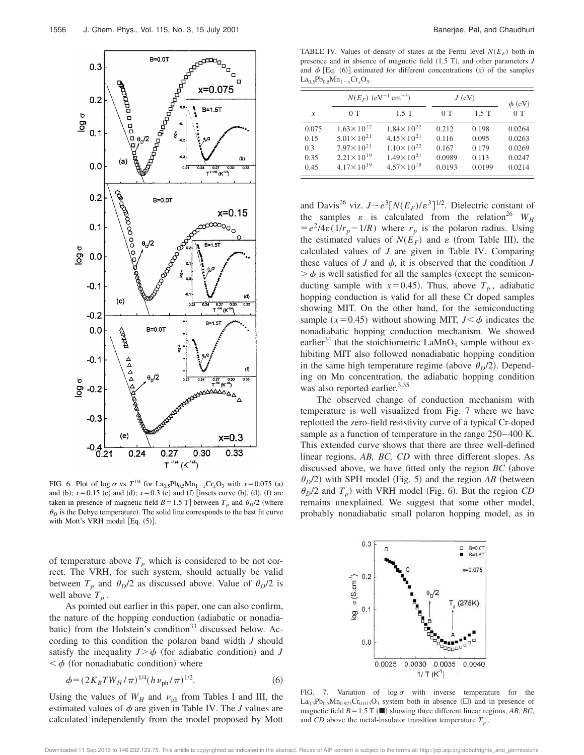

FIG. 6. Plot of log  $\sigma$  vs  $T^{1/4}$  for La<sub>0.5</sub>Pb<sub>0.5</sub>Mn<sub>1-x</sub>Cr<sub>x</sub>O<sub>3</sub> with  $x=0.075$  (a) and (b);  $x=0.15$  (c) and (d);  $x=0.3$  (e) and (f) [insets curve (b), (d), (f) are taken in presence of magnetic field  $B=1.5$  T] between  $T_p$  and  $\theta_p/2$  (where  $\theta_D$  is the Debye temperature). The solid line corresponds to the best fit curve with Mott's VRH model  $[Eq. (5)].$ 

of temperature above  $T_p$  which is considered to be not correct. The VRH, for such system, should actually be valid between  $T_p$  and  $\theta_p/2$  as discussed above. Value of  $\theta_p/2$  is well above  $T_p$ .

As pointed out earlier in this paper, one can also confirm, the nature of the hopping conduction (adiabatic or nonadiabatic) from the Holstein's condition<sup>33</sup> discussed below. According to this condition the polaron band width *J* should satisfy the inequality  $J > \phi$  (for adiabatic condition) and *J*  $\langle \phi \rangle$  (for nonadiabatic condition) where

$$
\phi = (2K_B T W_H / \pi)^{1/4} (h \nu_{\rm ph} / \pi)^{1/2}.
$$
\n(6)

Using the values of  $W_H$  and  $v_{ph}$  from Tables I and III, the estimated values of  $\phi$  are given in Table IV. The *J* values are calculated independently from the model proposed by Mott

TABLE IV. Values of density of states at the Fermi level  $N(E_F)$  both in presence and in absence of magnetic field  $(1.5 T)$ , and other parameters  $J$ and  $\phi$  [Eq. (6)] estimated for different concentrations  $(x)$  of the samples  $La_{0.5}Pb_{0.5}Mn_{1-x}Cr_xO_3.$ 

|       | $N(E_F)$ (eV <sup>-1</sup> cm <sup>-3</sup> ) |                       | $J$ (eV) | $\phi$ (eV) |        |
|-------|-----------------------------------------------|-----------------------|----------|-------------|--------|
| x     | 0T                                            | $1.5$ T               | 0T       | 1.5T        | 0T     |
| 0.075 | $1.63 \times 10^{22}$                         | $1.84 \times 10^{22}$ | 0.212    | 0.198       | 0.0264 |
| 0.15  | $5.01 \times 10^{21}$                         | $4.15 \times 10^{21}$ | 0.116    | 0.095       | 0.0263 |
| 0.3   | $7.97 \times 10^{21}$                         | $1.10\times10^{22}$   | 0.167    | 0.179       | 0.0269 |
| 0.35  | $2.21 \times 10^{19}$                         | $1.49 \times 10^{21}$ | 0.0989   | 0.113       | 0.0247 |
| 0.45  | $4.17 \times 10^{19}$                         | $4.57 \times 10^{19}$ | 0.0193   | 0.0199      | 0.0214 |

and Davis<sup>26</sup> viz.  $J \sim e^3 [N(E_F)/\varepsilon^3]^{1/2}$ . Dielectric constant of the samples  $\varepsilon$  is calculated from the relation<sup>26</sup>  $W_H$  $= e^2/4\varepsilon(1/r_p - 1/R)$  where  $r_p$  is the polaron radius. Using the estimated values of  $N(E_F)$  and  $\varepsilon$  (from Table III), the calculated values of *J* are given in Table IV. Comparing these values of *J* and  $\phi$ , it is observed that the condition *J*  $\geq \phi$  is well satisfied for all the samples (except the semiconducting sample with  $x=0.45$ ). Thus, above  $T_p$ , adiabatic hopping conduction is valid for all these Cr doped samples showing MIT. On the other hand, for the semiconducting sample ( $x=0.45$ ) without showing MIT,  $J < \phi$  indicates the nonadiabatic hopping conduction mechanism. We showed earlier<sup>34</sup> that the stoichiometric  $\text{LaMnO}_3$  sample without exhibiting MIT also followed nonadiabatic hopping condition in the same high temperature regime (above  $\theta_D/2$ ). Depending on Mn concentration, the adiabatic hopping condition was also reported earlier.<sup>3,35</sup>

The observed change of conduction mechanism with temperature is well visualized from Fig. 7 where we have replotted the zero-field resistivity curve of a typical Cr-doped sample as a function of temperature in the range 250–400 K. This extended curve shows that there are three well-defined linear regions, *AB, BC, CD* with three different slopes. As discussed above, we have fitted only the region  $BC$  (above  $\theta_p/2$ ) with SPH model (Fig. 5) and the region *AB* (between  $\theta_D$ /2 and  $T_p$ ) with VRH model (Fig. 6). But the region *CD* remains unexplained. We suggest that some other model, probably nonadiabatic small polaron hopping model, as in



FIG. 7. Variation of  $\log \sigma$  with inverse temperature for the  $La_{0.5}Pb_{0.5}Mn_{0.925}Cr_{0.075}O_3$  system both in absence ( $\square$ ) and in presence of magnetic field  $B=1.5$  T ( $\blacksquare$ ) showing three different linear regions, *AB*, *BC*, and *CD* above the metal-insulator transition temperature  $T_p$ .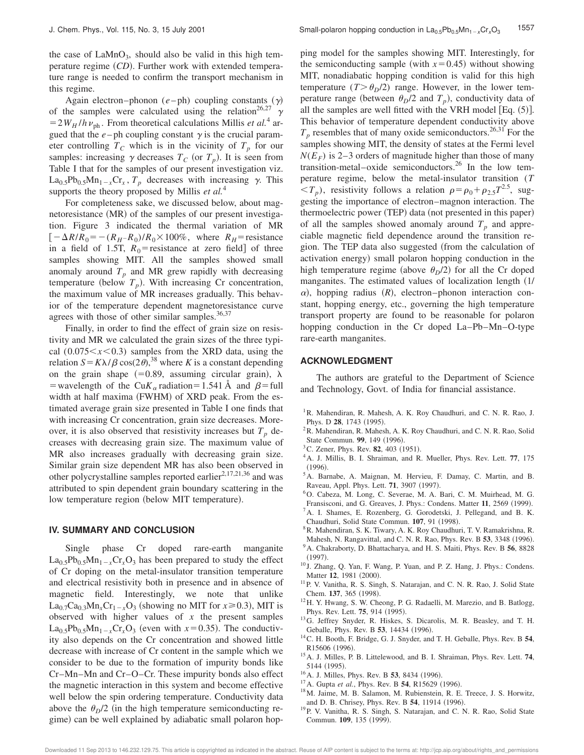the case of  $LaMnO<sub>3</sub>$ , should also be valid in this high temperature regime (*CD*). Further work with extended temperature range is needed to confirm the transport mechanism in this regime.

Again electron–phonon  $(e - ph)$  coupling constants  $(y)$ of the samples were calculated using the relation<sup>26,27</sup>  $\gamma$  $=2W_H/h \nu_{ph}$ . From theoretical calculations Millis *et al.*<sup>4</sup> argued that the  $e$ -ph coupling constant  $\gamma$  is the crucial parameter controlling  $T_c$  which is in the vicinity of  $T_p$  for our samples: increasing  $\gamma$  decreases  $T_c$  (or  $T_p$ ). It is seen from Table I that for the samples of our present investigation viz.  $\text{La}_{0.5}\text{Pb}_{0.5}\text{Mn}_{1-x}\text{Cr}_x$ ,  $T_p$  decreases with increasing  $\gamma$ . This supports the theory proposed by Millis *et al.*<sup>4</sup>

For completeness sake, we discussed below, about magnetoresistance  $(MR)$  of the samples of our present investigation. Figure 3 indicated the thermal variation of MR  $[-\Delta R/R_0 = -(R_H-R_0)/R_0 \times 100\%$ , where  $R_H$ = resistance in a field of 1.5T,  $R_0$ = resistance at zero field of three samples showing MIT. All the samples showed small anomaly around  $T_p$  and MR grew rapidly with decreasing temperature (below  $T_p$ ). With increasing Cr concentration, the maximum value of MR increases gradually. This behavior of the temperature dependent magnetoresistance curve agrees with those of other similar samples. $36,37$ 

Finally, in order to find the effect of grain size on resistivity and MR we calculated the grain sizes of the three typical  $(0.075 \le x \le 0.3)$  samples from the XRD data, using the relation  $S = K\lambda/\beta \cos(2\theta)$ ,<sup>38</sup> where *K* is a constant depending on the grain shape  $(=0.89,$  assuming circular grain),  $\lambda$ = wavelength of the Cu $K_{\alpha}$  radiation=1.541 Å and  $\beta$ =full width at half maxima (FWHM) of XRD peak. From the estimated average grain size presented in Table I one finds that with increasing Cr concentration, grain size decreases. Moreover, it is also observed that resistivity increases but  $T_p$  decreases with decreasing grain size. The maximum value of MR also increases gradually with decreasing grain size. Similar grain size dependent MR has also been observed in other polycrystalline samples reported earlier<sup>2,17,21,36</sup> and was attributed to spin dependent grain boundary scattering in the low temperature region (below MIT temperature).

#### **IV. SUMMARY AND CONCLUSION**

Single phase Cr doped rare-earth manganite  $La<sub>0.5</sub>Pb<sub>0.5</sub>Mn<sub>1-x</sub>Cr<sub>x</sub>O<sub>3</sub>$  has been prepared to study the effect of Cr doping on the metal-insulator transition temperature and electrical resistivity both in presence and in absence of magnetic field. Interestingly, we note that unlike  $\text{La}_{0.7}\text{Ca}_{0.3}\text{Mn}_x\text{Cr}_{1-x}\text{O}_3$  (showing no MIT for  $x \ge 0.3$ ), MIT is observed with higher values of *x* the present samples  $La_{0.5}Pb_{0.5}Mn_{1-x}Cr_xO_3$  (even with  $x=0.35$ ). The conductivity also depends on the Cr concentration and showed little decrease with increase of Cr content in the sample which we consider to be due to the formation of impurity bonds like Cr–Mn–Mn and Cr–O–Cr. These impurity bonds also effect the magnetic interaction in this system and become effective well below the spin ordering temperature. Conductivity data above the  $\theta_D/2$  (in the high temperature semiconducting regime) can be well explained by adiabatic small polaron hopping model for the samples showing MIT. Interestingly, for the semiconducting sample (with  $x=0.45$ ) without showing MIT, nonadiabatic hopping condition is valid for this high temperature  $(T > \theta_p/2)$  range. However, in the lower temperature range (between  $\theta_D/2$  and  $T_p$ ), conductivity data of all the samples are well fitted with the VRH model [Eq.  $(5)$ ]. This behavior of temperature dependent conductivity above  $T_p$  resembles that of many oxide semiconductors.<sup>26,31</sup> For the samples showing MIT, the density of states at the Fermi level  $N(E_F)$  is 2–3 orders of magnitude higher than those of many transition-metal–oxide semiconductors.<sup>26</sup> In the low temperature regime, below the metal-insulator transition (*T*  $\langle T_p \rangle$ , resistivity follows a relation  $\rho = \rho_0 + \rho_{2.5} T^{2.5}$ , suggesting the importance of electron–magnon interaction. The thermoelectric power (TEP) data (not presented in this paper) of all the samples showed anomaly around  $T_p$  and appreciable magnetic field dependence around the transition region. The TEP data also suggested (from the calculation of activation energy) small polaron hopping conduction in the high temperature regime (above  $\theta_D/2$ ) for all the Cr doped manganites. The estimated values of localization length  $(1/$  $\alpha$ ), hopping radius  $(R)$ , electron–phonon interaction constant, hopping energy, etc., governing the high temperature transport property are found to be reasonable for polaron hopping conduction in the Cr doped La–Pb–Mn–O-type rare-earth manganites.

#### **ACKNOWLEDGMENT**

The authors are grateful to the Department of Science and Technology, Govt. of India for financial assistance.

- <sup>1</sup>R. Mahendiran, R. Mahesh, A. K. Roy Chaudhuri, and C. N. R. Rao, J. Phys. D 28, 1743 (1995).
- ${}^{2}R$ . Mahendiran, R. Mahesh, A. K. Roy Chaudhuri, and C. N. R. Rao, Solid State Commun. 99, 149 (1996).
- <sup>3</sup>C. Zener, Phys. Rev. **82**, 403 (1951).
- <sup>4</sup>A. J. Millis, B. I. Shraiman, and R. Mueller, Phys. Rev. Lett. **77**, 175  $(1996).$
- <sup>5</sup>A. Barnabe, A. Maignan, M. Hervieu, F. Damay, C. Martin, and B. Raveau, Appl. Phys. Lett. **71**, 3907 (1997).
- <sup>6</sup>O. Cabeza, M. Long, C. Severae, M. A. Bari, C. M. Muirhead, M. G.
- Fransisconi, and G. Greaves, J. Phys.: Condens. Matter 11, 2569 (1999).
- <sup>7</sup>A. I. Shames, E. Rozenberg, G. Gorodetski, J. Pellegand, and B. K. Chaudhuri, Solid State Commun. **107**, 91 (1998).
- <sup>8</sup>R. Mahendiran, S. K. Tiwary, A. K. Roy Chaudhuri, T. V. Ramakrishna, R.
- Mahesh, N. Rangavittal, and C. N. R. Rao, Phys. Rev. B 53, 3348 (1996).
- <sup>9</sup>A. Chakraborty, D. Bhattacharya, and H. S. Maiti, Phys. Rev. B **56**, 8828  $(1997).$
- <sup>10</sup> J. Zhang, Q. Yan, F. Wang, P. Yuan, and P. Z. Hang, J. Phys.: Condens. Matter 12, 1981 (2000).
- <sup>11</sup> P. V. Vanitha, R. S. Singh, S. Natarajan, and C. N. R. Rao, J. Solid State Chem. 137, 365 (1998).
- <sup>12</sup>H. Y. Hwang, S. W. Cheong, P. G. Radaelli, M. Marezio, and B. Batlogg, Phys. Rev. Lett. **75**, 914 (1995).
- <sup>13</sup>G. Jeffrey Snyder, R. Hiskes, S. Dicarolis, M. R. Beasley, and T. H. Geballe, Phys. Rev. B 53, 14434 (1996).
- <sup>14</sup>C. H. Booth, F. Bridge, G. J. Snyder, and T. H. Geballe, Phys. Rev. B **54**, R15606 (1996).
- <sup>15</sup>A. J. Milles, P. B. Littelewood, and B. I. Shraiman, Phys. Rev. Lett. **74**, 5144 (1995).
- <sup>16</sup> A. J. Milles, Phys. Rev. B **53**, 8434 (1996).
- <sup>17</sup>A. Gupta *et al.*, Phys. Rev. B **54**, R15629 (1996).
- <sup>18</sup>M. Jaime, M. B. Salamon, M. Rubienstein, R. E. Treece, J. S. Horwitz, and D. B. Chrisey, Phys. Rev. B 54, 11914 (1996).
- <sup>19</sup>P. V. Vanitha, R. S. Singh, S. Natarajan, and C. N. R. Rao, Solid State Commun. 109, 135 (1999).